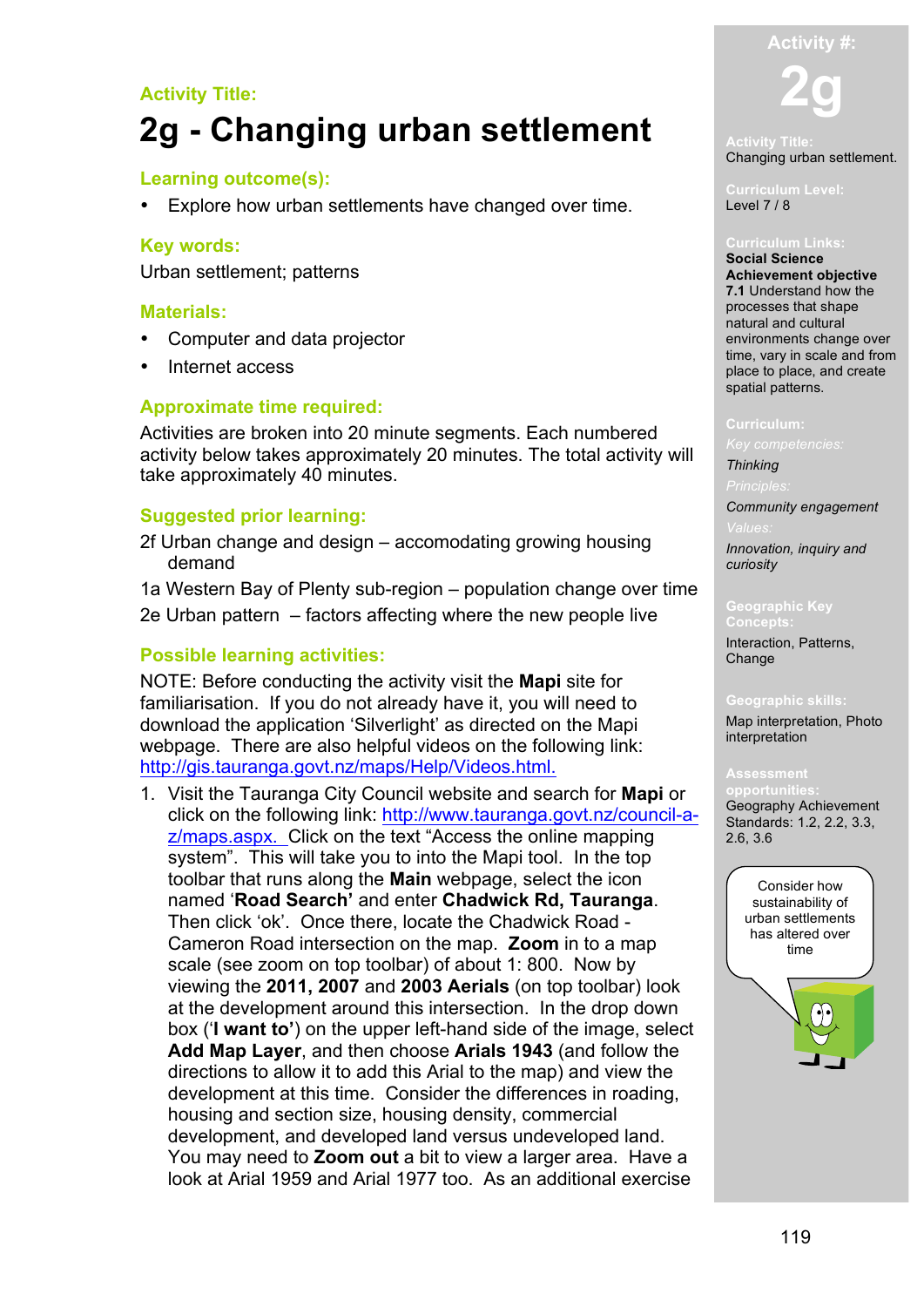# **Activity Title: 2g - Changing urban settlement**

# **Learning outcome(s):**

Explore how urban settlements have changed over time.

# **Key words:**

Urban settlement; patterns

## **Materials:**

- Computer and data projector
- Internet access

# **Approximate time required:**

Activities are broken into 20 minute segments. Each numbered activity below takes approximately 20 minutes. The total activity will take approximately 40 minutes.

# **Suggested prior learning:**

2f Urban change and design – accomodating growing housing demand

1a Western Bay of Plenty sub-region – population change over time 2e Urban pattern – factors affecting where the new people live

## **Possible learning activities:**

NOTE: Before conducting the activity visit the **Mapi** site for familiarisation. If you do not already have it, you will need to download the application 'Silverlight' as directed on the Mapi webpage. There are also helpful videos on the following link: http://gis.tauranga.govt.nz/maps/Help/Videos.html.

1. Visit the Tauranga City Council website and search for **Mapi** or click on the following link: http://www.tauranga.govt.nz/council-az/maps.aspx. Click on the text "Access the online mapping system". This will take you to into the Mapi tool. In the top toolbar that runs along the **Main** webpage, select the icon named '**Road Search'** and enter **Chadwick Rd, Tauranga**. Then click 'ok'. Once there, locate the Chadwick Road - Cameron Road intersection on the map. **Zoom** in to a map scale (see zoom on top toolbar) of about 1: 800. Now by viewing the **2011, 2007** and **2003 Aerials** (on top toolbar) look at the development around this intersection. In the drop down box ('**I want to'**) on the upper left-hand side of the image, select **Add Map Layer**, and then choose **Arials 1943** (and follow the directions to allow it to add this Arial to the map) and view the development at this time. Consider the differences in roading, housing and section size, housing density, commercial development, and developed land versus undeveloped land. You may need to **Zoom out** a bit to view a larger area. Have a look at Arial 1959 and Arial 1977 too. As an additional exercise



# Changing urban settlement.

**Curriculum Level:** Level 7 / 8

**Social Science Achievement objective 7.1** Understand how the processes that shape natural and cultural environments change over time, vary in scale and from place to place, and create spatial patterns.

### **Curriculum:**

*Thinking*

*Community engagement* 

*Innovation, inquiry and curiosity*

**Geographic Key Concepts:** Interaction, Patterns, Change

### **Geographic skills:**

Map interpretation, Photo interpretation

**opportunities:** Geography Achievement Standards: 1.2, 2.2, 3.3, 2.6, 3.6

urban settlements Consider how sustainability of has altered over time